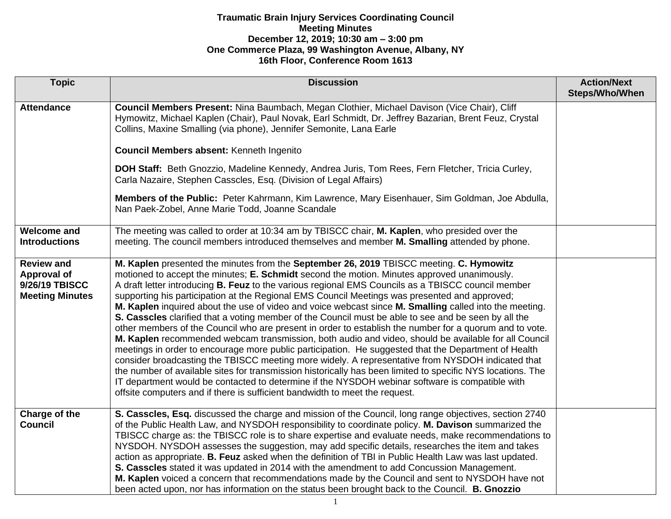| <b>Topic</b>                                                                 | <b>Discussion</b>                                                                                                                                                                                                                                                                                                                                                                                                                                                                                                                                                                                                                                                                                                                                                                                                                                                                                                                                                                                                                                                                                                                                                                                                                                                                                                                                       | <b>Action/Next</b><br>Steps/Who/When |
|------------------------------------------------------------------------------|---------------------------------------------------------------------------------------------------------------------------------------------------------------------------------------------------------------------------------------------------------------------------------------------------------------------------------------------------------------------------------------------------------------------------------------------------------------------------------------------------------------------------------------------------------------------------------------------------------------------------------------------------------------------------------------------------------------------------------------------------------------------------------------------------------------------------------------------------------------------------------------------------------------------------------------------------------------------------------------------------------------------------------------------------------------------------------------------------------------------------------------------------------------------------------------------------------------------------------------------------------------------------------------------------------------------------------------------------------|--------------------------------------|
| <b>Attendance</b>                                                            | Council Members Present: Nina Baumbach, Megan Clothier, Michael Davison (Vice Chair), Cliff<br>Hymowitz, Michael Kaplen (Chair), Paul Novak, Earl Schmidt, Dr. Jeffrey Bazarian, Brent Feuz, Crystal<br>Collins, Maxine Smalling (via phone), Jennifer Semonite, Lana Earle<br>Council Members absent: Kenneth Ingenito<br>DOH Staff: Beth Gnozzio, Madeline Kennedy, Andrea Juris, Tom Rees, Fern Fletcher, Tricia Curley,<br>Carla Nazaire, Stephen Casscles, Esq. (Division of Legal Affairs)<br>Members of the Public: Peter Kahrmann, Kim Lawrence, Mary Eisenhauer, Sim Goldman, Joe Abdulla,<br>Nan Paek-Zobel, Anne Marie Todd, Joanne Scandale                                                                                                                                                                                                                                                                                                                                                                                                                                                                                                                                                                                                                                                                                                 |                                      |
| <b>Welcome and</b><br><b>Introductions</b>                                   | The meeting was called to order at 10:34 am by TBISCC chair, M. Kaplen, who presided over the<br>meeting. The council members introduced themselves and member M. Smalling attended by phone.                                                                                                                                                                                                                                                                                                                                                                                                                                                                                                                                                                                                                                                                                                                                                                                                                                                                                                                                                                                                                                                                                                                                                           |                                      |
| <b>Review and</b><br>Approval of<br>9/26/19 TBISCC<br><b>Meeting Minutes</b> | M. Kaplen presented the minutes from the September 26, 2019 TBISCC meeting. C. Hymowitz<br>motioned to accept the minutes; E. Schmidt second the motion. Minutes approved unanimously.<br>A draft letter introducing <b>B. Feuz</b> to the various regional EMS Councils as a TBISCC council member<br>supporting his participation at the Regional EMS Council Meetings was presented and approved;<br>M. Kaplen inquired about the use of video and voice webcast since M. Smalling called into the meeting.<br>S. Casscles clarified that a voting member of the Council must be able to see and be seen by all the<br>other members of the Council who are present in order to establish the number for a quorum and to vote.<br>M. Kaplen recommended webcam transmission, both audio and video, should be available for all Council<br>meetings in order to encourage more public participation. He suggested that the Department of Health<br>consider broadcasting the TBISCC meeting more widely. A representative from NYSDOH indicated that<br>the number of available sites for transmission historically has been limited to specific NYS locations. The<br>IT department would be contacted to determine if the NYSDOH webinar software is compatible with<br>offsite computers and if there is sufficient bandwidth to meet the request. |                                      |
| Charge of the<br><b>Council</b>                                              | S. Casscles, Esq. discussed the charge and mission of the Council, long range objectives, section 2740<br>of the Public Health Law, and NYSDOH responsibility to coordinate policy. M. Davison summarized the<br>TBISCC charge as: the TBISCC role is to share expertise and evaluate needs, make recommendations to<br>NYSDOH. NYSDOH assesses the suggestion, may add specific details, researches the item and takes<br>action as appropriate. B. Feuz asked when the definition of TBI in Public Health Law was last updated.<br>S. Casscles stated it was updated in 2014 with the amendment to add Concussion Management.<br>M. Kaplen voiced a concern that recommendations made by the Council and sent to NYSDOH have not<br>been acted upon, nor has information on the status been brought back to the Council. B. Gnozzio                                                                                                                                                                                                                                                                                                                                                                                                                                                                                                                   |                                      |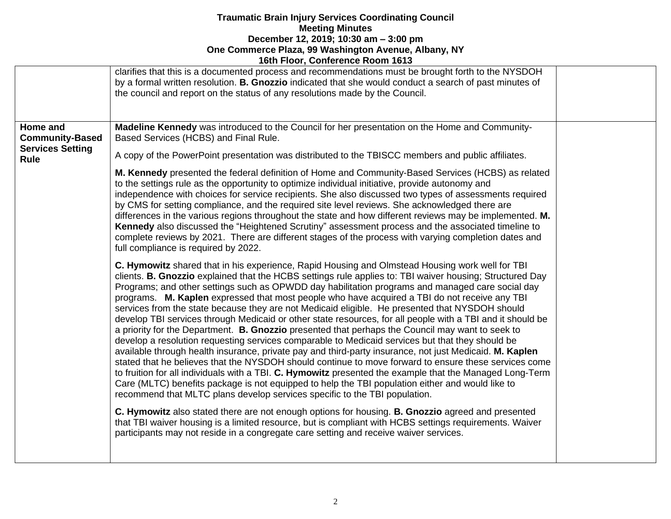|                                        | <b>POLITIOUR, OUTRETCHCE INDUIT TOTO</b>                                                                                                                                                                                                                                                                                                                                                                                                                                                                                                                                                                                                                                                                                                                                                                                                                                                                                                                                                                                                                                                                                                                                                                                                                                                                                                                                                                                                                                                                                                                                                                                                                                    |  |
|----------------------------------------|-----------------------------------------------------------------------------------------------------------------------------------------------------------------------------------------------------------------------------------------------------------------------------------------------------------------------------------------------------------------------------------------------------------------------------------------------------------------------------------------------------------------------------------------------------------------------------------------------------------------------------------------------------------------------------------------------------------------------------------------------------------------------------------------------------------------------------------------------------------------------------------------------------------------------------------------------------------------------------------------------------------------------------------------------------------------------------------------------------------------------------------------------------------------------------------------------------------------------------------------------------------------------------------------------------------------------------------------------------------------------------------------------------------------------------------------------------------------------------------------------------------------------------------------------------------------------------------------------------------------------------------------------------------------------------|--|
|                                        | clarifies that this is a documented process and recommendations must be brought forth to the NYSDOH<br>by a formal written resolution. <b>B. Gnozzio</b> indicated that she would conduct a search of past minutes of<br>the council and report on the status of any resolutions made by the Council.                                                                                                                                                                                                                                                                                                                                                                                                                                                                                                                                                                                                                                                                                                                                                                                                                                                                                                                                                                                                                                                                                                                                                                                                                                                                                                                                                                       |  |
| Home and<br><b>Community-Based</b>     | Madeline Kennedy was introduced to the Council for her presentation on the Home and Community-<br>Based Services (HCBS) and Final Rule.                                                                                                                                                                                                                                                                                                                                                                                                                                                                                                                                                                                                                                                                                                                                                                                                                                                                                                                                                                                                                                                                                                                                                                                                                                                                                                                                                                                                                                                                                                                                     |  |
| <b>Services Setting</b><br><b>Rule</b> | A copy of the PowerPoint presentation was distributed to the TBISCC members and public affiliates.                                                                                                                                                                                                                                                                                                                                                                                                                                                                                                                                                                                                                                                                                                                                                                                                                                                                                                                                                                                                                                                                                                                                                                                                                                                                                                                                                                                                                                                                                                                                                                          |  |
|                                        | M. Kennedy presented the federal definition of Home and Community-Based Services (HCBS) as related<br>to the settings rule as the opportunity to optimize individual initiative, provide autonomy and<br>independence with choices for service recipients. She also discussed two types of assessments required<br>by CMS for setting compliance, and the required site level reviews. She acknowledged there are<br>differences in the various regions throughout the state and how different reviews may be implemented. M.<br>Kennedy also discussed the "Heightened Scrutiny" assessment process and the associated timeline to<br>complete reviews by 2021. There are different stages of the process with varying completion dates and<br>full compliance is required by 2022.                                                                                                                                                                                                                                                                                                                                                                                                                                                                                                                                                                                                                                                                                                                                                                                                                                                                                        |  |
|                                        | C. Hymowitz shared that in his experience, Rapid Housing and Olmstead Housing work well for TBI<br>clients. B. Gnozzio explained that the HCBS settings rule applies to: TBI waiver housing; Structured Day<br>Programs; and other settings such as OPWDD day habilitation programs and managed care social day<br>programs. M. Kaplen expressed that most people who have acquired a TBI do not receive any TBI<br>services from the state because they are not Medicaid eligible. He presented that NYSDOH should<br>develop TBI services through Medicaid or other state resources, for all people with a TBI and it should be<br>a priority for the Department. <b>B. Gnozzio</b> presented that perhaps the Council may want to seek to<br>develop a resolution requesting services comparable to Medicaid services but that they should be<br>available through health insurance, private pay and third-party insurance, not just Medicaid. M. Kaplen<br>stated that he believes that the NYSDOH should continue to move forward to ensure these services come<br>to fruition for all individuals with a TBI. C. Hymowitz presented the example that the Managed Long-Term<br>Care (MLTC) benefits package is not equipped to help the TBI population either and would like to<br>recommend that MLTC plans develop services specific to the TBI population.<br>C. Hymowitz also stated there are not enough options for housing. B. Gnozzio agreed and presented<br>that TBI waiver housing is a limited resource, but is compliant with HCBS settings requirements. Waiver<br>participants may not reside in a congregate care setting and receive waiver services. |  |
|                                        |                                                                                                                                                                                                                                                                                                                                                                                                                                                                                                                                                                                                                                                                                                                                                                                                                                                                                                                                                                                                                                                                                                                                                                                                                                                                                                                                                                                                                                                                                                                                                                                                                                                                             |  |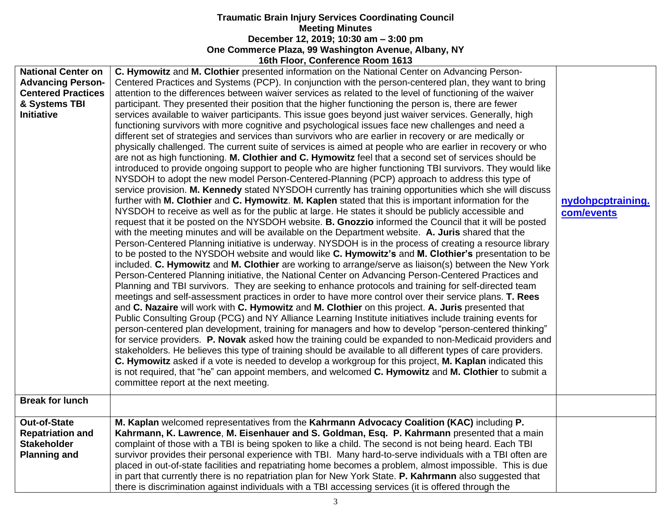|                                                                                                                          | <b>100111001, CONTEIGNCE NOONI 1013</b>                                                                                                                                                                                                                                                                                                                                                                                                                                                                                                                                                                                                                                                                                                                                                                                                                                                                                                                                                                                                                                                                                                                                                                                                                                                                                                                                                                                                                                                                                                                                                                                                                                                                                                                                                                                                                                                                                                                                                                                                                                                                                                                                                                                                                                                                                                                                                                                                                                                                                                                                                                                                                                                                                                                                                                                                                                                                                                                                                                                                                                                                                                                                                                             |                                 |
|--------------------------------------------------------------------------------------------------------------------------|---------------------------------------------------------------------------------------------------------------------------------------------------------------------------------------------------------------------------------------------------------------------------------------------------------------------------------------------------------------------------------------------------------------------------------------------------------------------------------------------------------------------------------------------------------------------------------------------------------------------------------------------------------------------------------------------------------------------------------------------------------------------------------------------------------------------------------------------------------------------------------------------------------------------------------------------------------------------------------------------------------------------------------------------------------------------------------------------------------------------------------------------------------------------------------------------------------------------------------------------------------------------------------------------------------------------------------------------------------------------------------------------------------------------------------------------------------------------------------------------------------------------------------------------------------------------------------------------------------------------------------------------------------------------------------------------------------------------------------------------------------------------------------------------------------------------------------------------------------------------------------------------------------------------------------------------------------------------------------------------------------------------------------------------------------------------------------------------------------------------------------------------------------------------------------------------------------------------------------------------------------------------------------------------------------------------------------------------------------------------------------------------------------------------------------------------------------------------------------------------------------------------------------------------------------------------------------------------------------------------------------------------------------------------------------------------------------------------------------------------------------------------------------------------------------------------------------------------------------------------------------------------------------------------------------------------------------------------------------------------------------------------------------------------------------------------------------------------------------------------------------------------------------------------------------------------------------------------|---------------------------------|
| <b>National Center on</b><br><b>Advancing Person-</b><br><b>Centered Practices</b><br>& Systems TBI<br><b>Initiative</b> | C. Hymowitz and M. Clothier presented information on the National Center on Advancing Person-<br>Centered Practices and Systems (PCP). In conjunction with the person-centered plan, they want to bring<br>attention to the differences between waiver services as related to the level of functioning of the waiver<br>participant. They presented their position that the higher functioning the person is, there are fewer<br>services available to waiver participants. This issue goes beyond just waiver services. Generally, high<br>functioning survivors with more cognitive and psychological issues face new challenges and need a<br>different set of strategies and services than survivors who are earlier in recovery or are medically or<br>physically challenged. The current suite of services is aimed at people who are earlier in recovery or who<br>are not as high functioning. M. Clothier and C. Hymowitz feel that a second set of services should be<br>introduced to provide ongoing support to people who are higher functioning TBI survivors. They would like<br>NYSDOH to adopt the new model Person-Centered-Planning (PCP) approach to address this type of<br>service provision. M. Kennedy stated NYSDOH currently has training opportunities which she will discuss<br>further with M. Clothier and C. Hymowitz. M. Kaplen stated that this is important information for the<br>NYSDOH to receive as well as for the public at large. He states it should be publicly accessible and<br>request that it be posted on the NYSDOH website. B. Gnozzio informed the Council that it will be posted<br>with the meeting minutes and will be available on the Department website. A. Juris shared that the<br>Person-Centered Planning initiative is underway. NYSDOH is in the process of creating a resource library<br>to be posted to the NYSDOH website and would like C. Hymowitz's and M. Clothier's presentation to be<br>included. C. Hymowitz and M. Clothier are working to arrange/serve as liaison(s) between the New York<br>Person-Centered Planning initiative, the National Center on Advancing Person-Centered Practices and<br>Planning and TBI survivors. They are seeking to enhance protocols and training for self-directed team<br>meetings and self-assessment practices in order to have more control over their service plans. T. Rees<br>and C. Nazaire will work with C. Hymowitz and M. Clothier on this project. A. Juris presented that<br>Public Consulting Group (PCG) and NY Alliance Learning Institute initiatives include training events for<br>person-centered plan development, training for managers and how to develop "person-centered thinking"<br>for service providers. P. Novak asked how the training could be expanded to non-Medicaid providers and<br>stakeholders. He believes this type of training should be available to all different types of care providers.<br>C. Hymowitz asked if a vote is needed to develop a workgroup for this project, M. Kaplan indicated this<br>is not required, that "he" can appoint members, and welcomed C. Hymowitz and M. Clothier to submit a<br>committee report at the next meeting. | nydohpcptraining.<br>com/events |
| <b>Break for lunch</b>                                                                                                   |                                                                                                                                                                                                                                                                                                                                                                                                                                                                                                                                                                                                                                                                                                                                                                                                                                                                                                                                                                                                                                                                                                                                                                                                                                                                                                                                                                                                                                                                                                                                                                                                                                                                                                                                                                                                                                                                                                                                                                                                                                                                                                                                                                                                                                                                                                                                                                                                                                                                                                                                                                                                                                                                                                                                                                                                                                                                                                                                                                                                                                                                                                                                                                                                                     |                                 |
| <b>Out-of-State</b><br><b>Repatriation and</b><br><b>Stakeholder</b><br><b>Planning and</b>                              | M. Kaplan welcomed representatives from the Kahrmann Advocacy Coalition (KAC) including P.<br>Kahrmann, K. Lawrence, M. Eisenhauer and S. Goldman, Esq. P. Kahrmann presented that a main<br>complaint of those with a TBI is being spoken to like a child. The second is not being heard. Each TBI<br>survivor provides their personal experience with TBI. Many hard-to-serve individuals with a TBI often are<br>placed in out-of-state facilities and repatriating home becomes a problem, almost impossible. This is due<br>in part that currently there is no repatriation plan for New York State. P. Kahrmann also suggested that<br>there is discrimination against individuals with a TBI accessing services (it is offered through the                                                                                                                                                                                                                                                                                                                                                                                                                                                                                                                                                                                                                                                                                                                                                                                                                                                                                                                                                                                                                                                                                                                                                                                                                                                                                                                                                                                                                                                                                                                                                                                                                                                                                                                                                                                                                                                                                                                                                                                                                                                                                                                                                                                                                                                                                                                                                                                                                                                                   |                                 |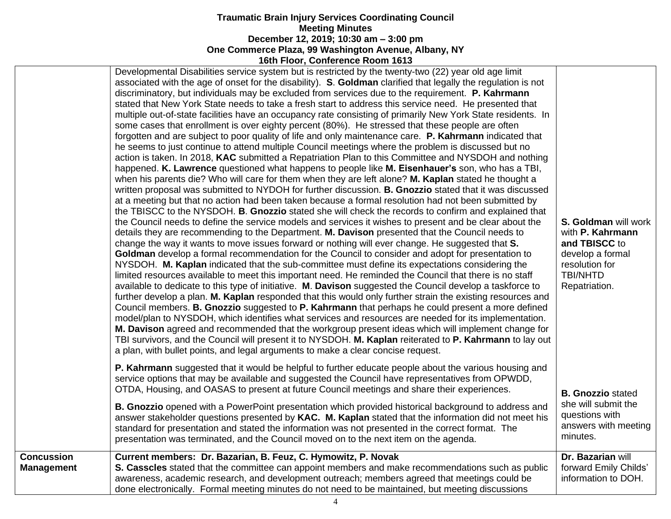|                                        | Developmental Disabilities service system but is restricted by the twenty-two (22) year old age limit<br>associated with the age of onset for the disability). S. Goldman clarified that legally the regulation is not<br>discriminatory, but individuals may be excluded from services due to the requirement. P. Kahrmann<br>stated that New York State needs to take a fresh start to address this service need. He presented that<br>multiple out-of-state facilities have an occupancy rate consisting of primarily New York State residents. In<br>some cases that enrollment is over eighty percent (80%). He stressed that these people are often<br>forgotten and are subject to poor quality of life and only maintenance care. P. Kahrmann indicated that<br>he seems to just continue to attend multiple Council meetings where the problem is discussed but no<br>action is taken. In 2018, KAC submitted a Repatriation Plan to this Committee and NYSDOH and nothing<br>happened. K. Lawrence questioned what happens to people like M. Eisenhauer's son, who has a TBI,<br>when his parents die? Who will care for them when they are left alone? M. Kaplan stated he thought a<br>written proposal was submitted to NYDOH for further discussion. <b>B. Gnozzio</b> stated that it was discussed<br>at a meeting but that no action had been taken because a formal resolution had not been submitted by<br>the TBISCC to the NYSDOH. B. Gnozzio stated she will check the records to confirm and explained that<br>the Council needs to define the service models and services it wishes to present and be clear about the<br>details they are recommending to the Department. M. Davison presented that the Council needs to<br>change the way it wants to move issues forward or nothing will ever change. He suggested that S.<br>Goldman develop a formal recommendation for the Council to consider and adopt for presentation to<br>NYSDOH. M. Kaplan indicated that the sub-committee must define its expectations considering the<br>limited resources available to meet this important need. He reminded the Council that there is no staff<br>available to dedicate to this type of initiative. M. Davison suggested the Council develop a taskforce to<br>further develop a plan. M. Kaplan responded that this would only further strain the existing resources and<br>Council members. B. Gnozzio suggested to P. Kahrmann that perhaps he could present a more defined<br>model/plan to NYSDOH, which identifies what services and resources are needed for its implementation.<br>M. Davison agreed and recommended that the workgroup present ideas which will implement change for<br>TBI survivors, and the Council will present it to NYSDOH. M. Kaplan reiterated to P. Kahrmann to lay out<br>a plan, with bullet points, and legal arguments to make a clear concise request. | <b>S. Goldman will work</b><br>with P. Kahrmann<br>and TBISCC to<br>develop a formal<br>resolution for<br><b>TBI/NHTD</b><br>Repatriation. |
|----------------------------------------|-----------------------------------------------------------------------------------------------------------------------------------------------------------------------------------------------------------------------------------------------------------------------------------------------------------------------------------------------------------------------------------------------------------------------------------------------------------------------------------------------------------------------------------------------------------------------------------------------------------------------------------------------------------------------------------------------------------------------------------------------------------------------------------------------------------------------------------------------------------------------------------------------------------------------------------------------------------------------------------------------------------------------------------------------------------------------------------------------------------------------------------------------------------------------------------------------------------------------------------------------------------------------------------------------------------------------------------------------------------------------------------------------------------------------------------------------------------------------------------------------------------------------------------------------------------------------------------------------------------------------------------------------------------------------------------------------------------------------------------------------------------------------------------------------------------------------------------------------------------------------------------------------------------------------------------------------------------------------------------------------------------------------------------------------------------------------------------------------------------------------------------------------------------------------------------------------------------------------------------------------------------------------------------------------------------------------------------------------------------------------------------------------------------------------------------------------------------------------------------------------------------------------------------------------------------------------------------------------------------------------------------------------------------------------------------------------------------------------------------------------------------------------------------------------------------------------------------------------------------------------------------------------------------------------|--------------------------------------------------------------------------------------------------------------------------------------------|
|                                        | <b>P. Kahrmann</b> suggested that it would be helpful to further educate people about the various housing and<br>service options that may be available and suggested the Council have representatives from OPWDD,<br>OTDA, Housing, and OASAS to present at future Council meetings and share their experiences.<br>B. Gnozzio opened with a PowerPoint presentation which provided historical background to address and<br>answer stakeholder questions presented by KAC. M. Kaplan stated that the information did not meet his<br>standard for presentation and stated the information was not presented in the correct format. The<br>presentation was terminated, and the Council moved on to the next item on the agenda.                                                                                                                                                                                                                                                                                                                                                                                                                                                                                                                                                                                                                                                                                                                                                                                                                                                                                                                                                                                                                                                                                                                                                                                                                                                                                                                                                                                                                                                                                                                                                                                                                                                                                                                                                                                                                                                                                                                                                                                                                                                                                                                                                                                       | <b>B. Gnozzio stated</b><br>she will submit the<br>questions with<br>answers with meeting<br>minutes.                                      |
| <b>Concussion</b><br><b>Management</b> | Current members: Dr. Bazarian, B. Feuz, C. Hymowitz, P. Novak<br>S. Casscles stated that the committee can appoint members and make recommendations such as public<br>awareness, academic research, and development outreach; members agreed that meetings could be<br>done electronically. Formal meeting minutes do not need to be maintained, but meeting discussions                                                                                                                                                                                                                                                                                                                                                                                                                                                                                                                                                                                                                                                                                                                                                                                                                                                                                                                                                                                                                                                                                                                                                                                                                                                                                                                                                                                                                                                                                                                                                                                                                                                                                                                                                                                                                                                                                                                                                                                                                                                                                                                                                                                                                                                                                                                                                                                                                                                                                                                                              | Dr. Bazarian will<br>forward Emily Childs'<br>information to DOH.                                                                          |